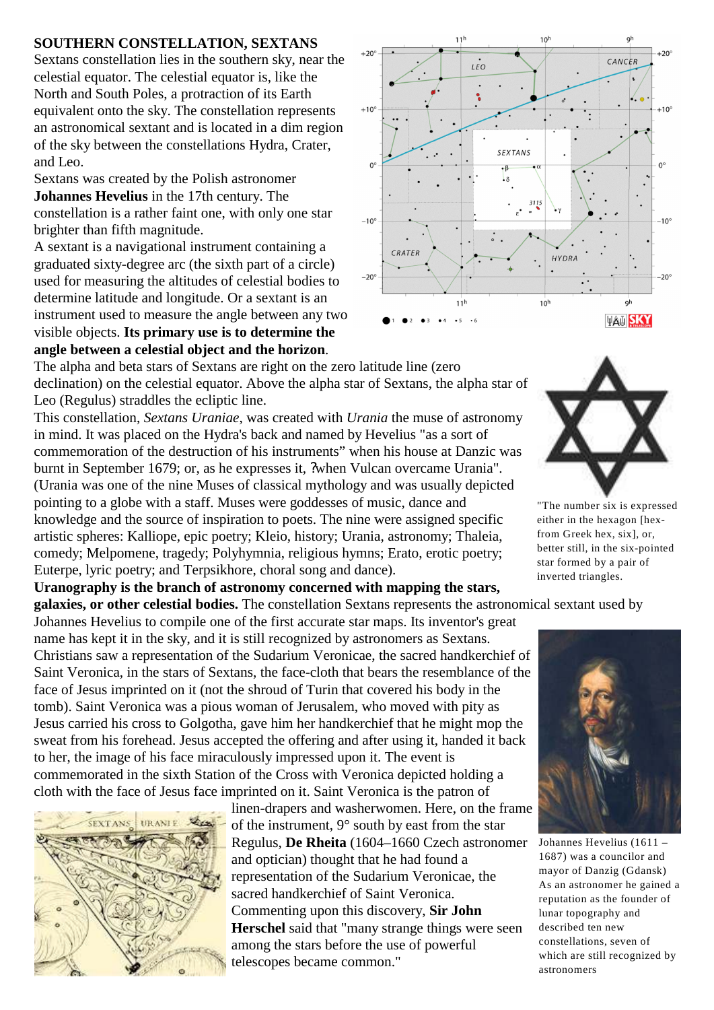## **SOUTHERN CONSTELLATION, SEXTANS**

Sextans constellation lies in the southern sky, near the celestial equator. The celestial equator is, like the North and South Poles, a protraction of its Earth equivalent onto the sky. The constellation represents an astronomical sextant and is located in a dim region of the sky between the constellations Hydra, Crater, and Leo.

Sextans was created by the Polish astronomer **Johannes Hevelius** in the 17th century. The constellation is a rather faint one, with only one star brighter than fifth magnitude.

A sextant is a navigational instrument containing a graduated sixty-degree arc (the sixth part of a circle) used for measuring the altitudes of celestial bodies to determine latitude and longitude. Or a sextant is an instrument used to measure the angle between any two visible objects. **Its primary use is to determine the angle between a celestial object and the horizon**.



The alpha and beta stars of Sextans are right on the zero latitude line (zero declination) on the celestial equator. Above the alpha star of Sextans, the alpha star of Leo (Regulus) straddles the ecliptic line.

This constellation, *Sextans Uraniae*, was created with *Urania* the muse of astronomy in mind. It was placed on the Hydra's back and named by Hevelius "as a sort of commemoration of the destruction of his instruments" when his house at Danzic was burnt in September 1679; or, as he expresses it, ?when Vulcan overcame Urania". (Urania was one of the nine Muses of classical mythology and was usually depicted pointing to a globe with a staff. Muses were goddesses of music, dance and knowledge and the source of inspiration to poets. The nine were assigned specific artistic spheres: Kalliope, epic poetry; Kleio, history; Urania, astronomy; Thaleia, comedy; Melpomene, tragedy; Polyhymnia, religious hymns; Erato, erotic poetry; Euterpe, lyric poetry; and Terpsikhore, choral song and dance).

**Uranography is the branch of astronomy concerned with mapping the stars,**

**galaxies, or other celestial bodies.** The constellation Sextans represents the astronomical sextant used by

Johannes Hevelius to compile one of the first accurate star maps. Its inventor's great name has kept it in the sky, and it is still recognized by astronomers as Sextans. Christians saw a representation of the Sudarium Veronicae, the sacred handkerchief of Saint Veronica, in the stars of Sextans, the face-cloth that bears the resemblance of the face of Jesus imprinted on it (not the shroud of Turin that covered his body in the tomb). Saint Veronica was a pious woman of Jerusalem, who moved with pity as Jesus carried his cross to Golgotha, gave him her handkerchief that he might mop the sweat from his forehead. Jesus accepted the offering and after using it, handed it back to her, the image of his face miraculously impressed upon it. The event is commemorated in the sixth Station of the Cross with Veronica depicted holding a cloth with the face of Jesus face imprinted on it. Saint Veronica is the patron of



linen-drapers and washerwomen. Here, on the frame of the instrument, 9° south by east from the star Regulus, **De Rheita** (1604–1660 Czech astronomer and optician) thought that he had found a representation of the Sudarium Veronicae, the sacred handkerchief of Saint Veronica. Commenting upon this discovery, **Sir John Herschel** said that "many strange things were seen among the stars before the use of powerful telescopes became common."



"The number six is expressed either in the hexagon [hexfrom Greek hex, six], or, better still, in the six-pointed star formed by a pair of inverted triangles.



Johannes Hevelius (1611 – 1687) was a councilor and mayor of Danzig (Gdansk) As an astronomer he gained a reputation as the founder of lunar topography and described ten new constellations, seven of which are still recognized by astronomers